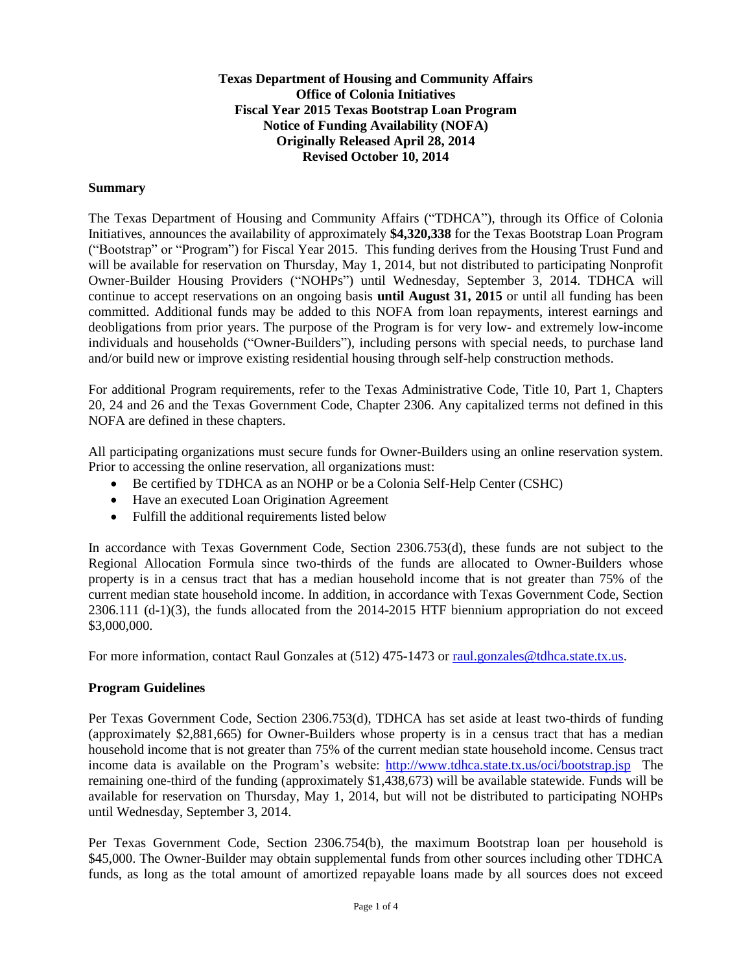**Texas Department of Housing and Community Affairs Office of Colonia Initiatives Fiscal Year 2015 Texas Bootstrap Loan Program Notice of Funding Availability (NOFA) Originally Released April 28, 2014 Revised October 10, 2014**

#### **Summary**

The Texas Department of Housing and Community Affairs ("TDHCA"), through its Office of Colonia Initiatives, announces the availability of approximately **\$4,320,338** for the Texas Bootstrap Loan Program ("Bootstrap" or "Program") for Fiscal Year 2015. This funding derives from the Housing Trust Fund and will be available for reservation on Thursday, May 1, 2014, but not distributed to participating Nonprofit Owner-Builder Housing Providers ("NOHPs") until Wednesday, September 3, 2014. TDHCA will continue to accept reservations on an ongoing basis **until August 31, 2015** or until all funding has been committed. Additional funds may be added to this NOFA from loan repayments, interest earnings and deobligations from prior years. The purpose of the Program is for very low- and extremely low-income individuals and households ("Owner-Builders"), including persons with special needs, to purchase land and/or build new or improve existing residential housing through self-help construction methods.

For additional Program requirements, refer to the Texas Administrative Code, Title 10, Part 1, Chapters 20, 24 and 26 and the Texas Government Code, Chapter 2306. Any capitalized terms not defined in this NOFA are defined in these chapters.

All participating organizations must secure funds for Owner-Builders using an online reservation system. Prior to accessing the online reservation, all organizations must:

- Be certified by TDHCA as an NOHP or be a Colonia Self-Help Center (CSHC)
- Have an executed Loan Origination Agreement
- Fulfill the additional requirements listed below

In accordance with Texas Government Code, Section 2306.753(d), these funds are not subject to the Regional Allocation Formula since two-thirds of the funds are allocated to Owner-Builders whose property is in a census tract that has a median household income that is not greater than 75% of the current median state household income. In addition, in accordance with Texas Government Code, Section 2306.111 (d-1)(3), the funds allocated from the 2014-2015 HTF biennium appropriation do not exceed \$3,000,000.

For more information, contact Raul Gonzales at (512) 475-1473 or [raul.gonzales@tdhca.state.tx.us.](mailto:raul.gonzales@tdhca.state.tx.us)

## **Program Guidelines**

Per Texas Government Code, Section 2306.753(d), TDHCA has set aside at least two-thirds of funding (approximately \$2,881,665) for Owner-Builders whose property is in a census tract that has a median household income that is not greater than 75% of the current median state household income. Census tract income data is available on the Program's website:<http://www.tdhca.state.tx.us/oci/bootstrap.jsp> The remaining one-third of the funding (approximately \$1,438,673) will be available statewide. Funds will be available for reservation on Thursday, May 1, 2014, but will not be distributed to participating NOHPs until Wednesday, September 3, 2014.

Per Texas Government Code, Section 2306.754(b), the maximum Bootstrap loan per household is \$45,000. The Owner-Builder may obtain supplemental funds from other sources including other TDHCA funds, as long as the total amount of amortized repayable loans made by all sources does not exceed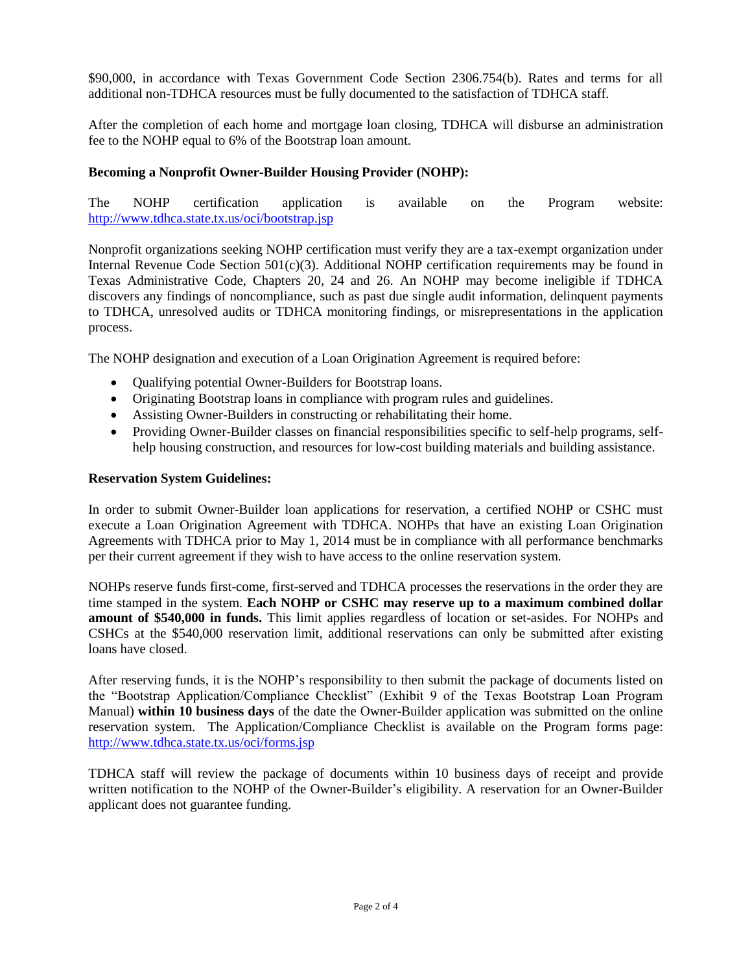\$90,000, in accordance with Texas Government Code Section 2306.754(b). Rates and terms for all additional non-TDHCA resources must be fully documented to the satisfaction of TDHCA staff.

After the completion of each home and mortgage loan closing, TDHCA will disburse an administration fee to the NOHP equal to 6% of the Bootstrap loan amount.

# **Becoming a Nonprofit Owner-Builder Housing Provider (NOHP):**

The NOHP certification application is available on the Program website: <http://www.tdhca.state.tx.us/oci/bootstrap.jsp>

Nonprofit organizations seeking NOHP certification must verify they are a tax-exempt organization under Internal Revenue Code Section 501(c)(3). Additional NOHP certification requirements may be found in Texas Administrative Code, Chapters 20, 24 and 26. An NOHP may become ineligible if TDHCA discovers any findings of noncompliance, such as past due single audit information, delinquent payments to TDHCA, unresolved audits or TDHCA monitoring findings, or misrepresentations in the application process.

The NOHP designation and execution of a Loan Origination Agreement is required before:

- Qualifying potential Owner-Builders for Bootstrap loans.
- Originating Bootstrap loans in compliance with program rules and guidelines.
- Assisting Owner-Builders in constructing or rehabilitating their home.
- Providing Owner-Builder classes on financial responsibilities specific to self-help programs, selfhelp housing construction, and resources for low-cost building materials and building assistance.

## **Reservation System Guidelines:**

In order to submit Owner-Builder loan applications for reservation, a certified NOHP or CSHC must execute a Loan Origination Agreement with TDHCA. NOHPs that have an existing Loan Origination Agreements with TDHCA prior to May 1, 2014 must be in compliance with all performance benchmarks per their current agreement if they wish to have access to the online reservation system.

NOHPs reserve funds first-come, first-served and TDHCA processes the reservations in the order they are time stamped in the system. **Each NOHP or CSHC may reserve up to a maximum combined dollar amount of \$540,000 in funds.** This limit applies regardless of location or set-asides. For NOHPs and CSHCs at the \$540,000 reservation limit, additional reservations can only be submitted after existing loans have closed.

After reserving funds, it is the NOHP's responsibility to then submit the package of documents listed on the "Bootstrap Application/Compliance Checklist" (Exhibit 9 of the Texas Bootstrap Loan Program Manual) **within 10 business days** of the date the Owner-Builder application was submitted on the online reservation system. The Application/Compliance Checklist is available on the Program forms page: <http://www.tdhca.state.tx.us/oci/forms.jsp>

TDHCA staff will review the package of documents within 10 business days of receipt and provide written notification to the NOHP of the Owner-Builder's eligibility. A reservation for an Owner-Builder applicant does not guarantee funding.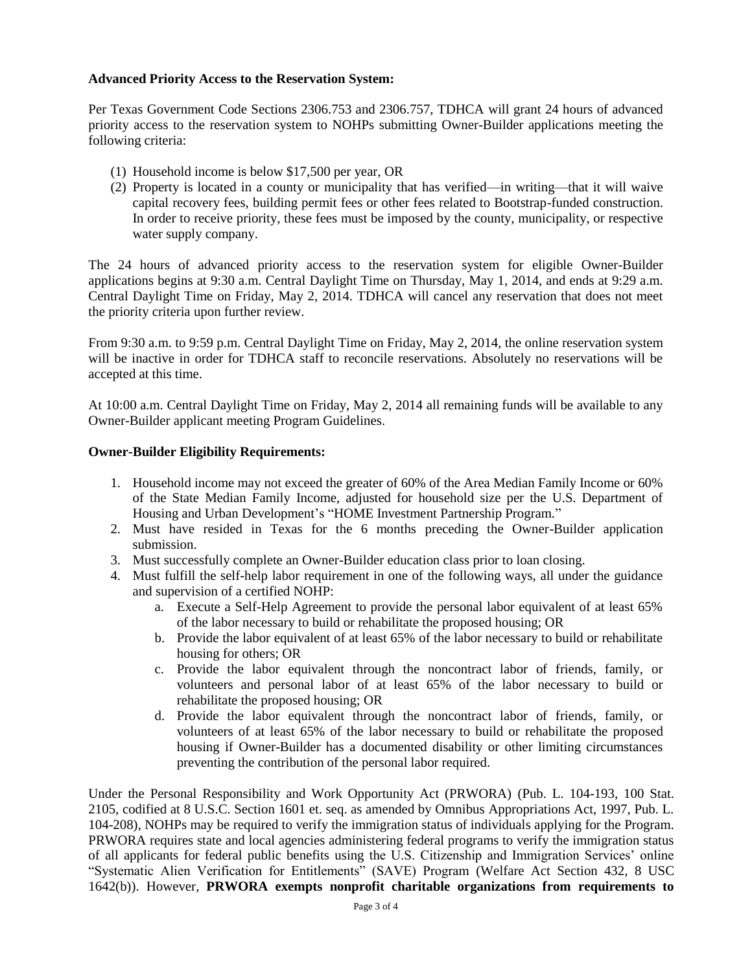## **Advanced Priority Access to the Reservation System:**

Per Texas Government Code Sections 2306.753 and 2306.757, TDHCA will grant 24 hours of advanced priority access to the reservation system to NOHPs submitting Owner-Builder applications meeting the following criteria:

- (1) Household income is below \$17,500 per year, OR
- (2) Property is located in a county or municipality that has verified—in writing—that it will waive capital recovery fees, building permit fees or other fees related to Bootstrap-funded construction. In order to receive priority, these fees must be imposed by the county, municipality, or respective water supply company.

The 24 hours of advanced priority access to the reservation system for eligible Owner-Builder applications begins at 9:30 a.m. Central Daylight Time on Thursday, May 1, 2014, and ends at 9:29 a.m. Central Daylight Time on Friday, May 2, 2014. TDHCA will cancel any reservation that does not meet the priority criteria upon further review.

From 9:30 a.m. to 9:59 p.m. Central Daylight Time on Friday, May 2, 2014, the online reservation system will be inactive in order for TDHCA staff to reconcile reservations. Absolutely no reservations will be accepted at this time.

At 10:00 a.m. Central Daylight Time on Friday, May 2, 2014 all remaining funds will be available to any Owner-Builder applicant meeting Program Guidelines.

## **Owner-Builder Eligibility Requirements:**

- 1. Household income may not exceed the greater of 60% of the Area Median Family Income or 60% of the State Median Family Income, adjusted for household size per the U.S. Department of Housing and Urban Development's "HOME Investment Partnership Program."
- 2. Must have resided in Texas for the 6 months preceding the Owner-Builder application submission.
- 3. Must successfully complete an Owner-Builder education class prior to loan closing.
- 4. Must fulfill the self-help labor requirement in one of the following ways, all under the guidance and supervision of a certified NOHP:
	- a. Execute a Self-Help Agreement to provide the personal labor equivalent of at least 65% of the labor necessary to build or rehabilitate the proposed housing; OR
	- b. Provide the labor equivalent of at least 65% of the labor necessary to build or rehabilitate housing for others; OR
	- c. Provide the labor equivalent through the noncontract labor of friends, family, or volunteers and personal labor of at least 65% of the labor necessary to build or rehabilitate the proposed housing; OR
	- d. Provide the labor equivalent through the noncontract labor of friends, family, or volunteers of at least 65% of the labor necessary to build or rehabilitate the proposed housing if Owner-Builder has a documented disability or other limiting circumstances preventing the contribution of the personal labor required.

Under the Personal Responsibility and Work Opportunity Act (PRWORA) (Pub. L. 104-193, 100 Stat. 2105, codified at 8 U.S.C. Section 1601 et. seq. as amended by Omnibus Appropriations Act, 1997, Pub. L. 104-208), NOHPs may be required to verify the immigration status of individuals applying for the Program. PRWORA requires state and local agencies administering federal programs to verify the immigration status of all applicants for federal public benefits using the U.S. Citizenship and Immigration Services' online "Systematic Alien Verification for Entitlements" (SAVE) Program (Welfare Act Section 432, 8 USC 1642(b)). However, **PRWORA exempts nonprofit charitable organizations from requirements to**